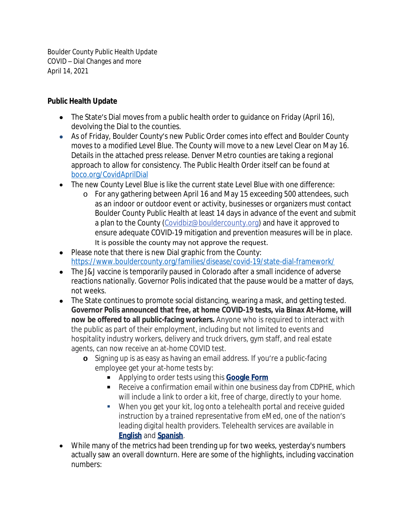Boulder County Public Health Update COVID – Dial Changes and more April 14, 2021

## **Public Health Update**

- The State's Dial moves from a public health order to quidance on Friday (April 16), devolving the Dial to the counties.
- As of Friday, Boulder County's new Public Order comes into effect and Boulder County moves to a modified Level Blue. The County will move to a new Level Clear on May 16. Details in the attached press release. Denver Metro counties are taking a regional approach to allow for consistency. The Public Health Order itself can be found at [boco.org/CovidAprilDial](https://linkprotect.cudasvc.com/url?a=https%3a%2f%2fassets.bouldercounty.org%2fwp-content%2fuploads%2f2021%2f04%2f2021-04-adoption-dial-order.pdf&c=E,1,oOgh_VdkBzepYIzk3OxPVJZpG4kJmmE15t59keLp8rBq8h3URlhbZsfcfIUHXoA2KY9pzJAimAlN4LrfGnosrVC2AIFsv0q73X_QageY1T8qZQ,,&typo=1)
- The new County Level Blue is like the current state Level Blue with one difference:
	- o For any gathering between April 16 and May 15 exceeding 500 attendees, such as an indoor or outdoor event or activity, businesses or organizers must contact Boulder County Public Health at least 14 days in advance of the event and submit a plan to the County [\(Covidbiz@bouldercounty.org](mailto:Covidbiz@bouldercounty.org)) and have it approved to ensure adequate COVID-19 mitigation and prevention measures will be in place. It is possible the county may not approve the request.
- Please note that there is new Dial graphic from the County: [https://www.bouldercounty.org/families/disease/covid-19/state-dial-framework/](https://linkprotect.cudasvc.com/url?a=https%3a%2f%2fwww.bouldercounty.org%2ffamilies%2fdisease%2fcovid-19%2fstate-dial-framework%2f&c=E,1,bmESkajjXRzudaAPzps1uvHWDvZgfIZwz8SQgS7wcSeX64F_-Gwb2TZuu2YU7RzV2-LAHHAUQbFKAPrdKzP3O3eZR8_xYUGLVLdZ08EU3wIkdAdVPPg,&typo=1)
- The J&J vaccine is temporarily paused in Colorado after a small incidence of adverse reactions nationally. Governor Polis indicated that the pause would be a matter of days, not weeks.
- The State continues to promote social distancing, wearing a mask, and getting tested. **Governor Polis announced that free, at home COVID-19 tests, via Binax At-Home, will now be offered to all public-facing workers.** Anyone who is required to interact with the public as part of their employment, including but not limited to events and hospitality industry workers, delivery and truck drivers, gym staff, and real estate agents, can now receive an at-home COVID test.
	- **o** Signing up is as easy as having an email address. If you're a public-facing employee get your at-home tests by:
		- Applying to order tests using this **[Google Form](http://r20.rs6.net/tn.jsp?f=001iHE2OLz3GJr-9_Ohot2KyjZ7ZDpfiZp4LN4X0Hk9CHljqgAv54JQcxRL_mjoBGFMxbYNkNCXn6Xr32J0LtXUHeFoq3gEQQzEgnlPtPJ0a8w8l2KnIPSJpgmmMNLKUdq2w6aywYPC75TK2rgsSQJUsbn2eLyJaBcLS5U0P5jYGVrRz25fbL7NkvoorBuxOhkltAzSNFyh1_3u0CBntmF5EtAH5B1I31eH0SYs9SEJbu5E2glJeKMMgjA4UVyl7Ezv&c=HUpIkBU8T-50kc_cOXuBj3Cx9HCo0G6l-EeAMrwkjWj-gT1khmsM2Q==&ch=8yX3ZOxk94I7X0yCFOVTDVpN-c3J7Z4p6xcGHlJq9HizkrVy9VIYSw==)**
		- Receive a confirmation email within one business day from CDPHE, which will include a link to order a kit, free of charge, directly to your home.
		- When you get your kit, log onto a telehealth portal and receive guided instruction by a trained representative from eMed, one of the nation's leading digital health providers. Telehealth services are available in **[English](http://r20.rs6.net/tn.jsp?f=001iHE2OLz3GJr-9_Ohot2KyjZ7ZDpfiZp4LN4X0Hk9CHljqgAv54JQcxRL_mjoBGFMxIYzgmOWJFV_LnY3VOowEFxAgWXew4btFscjRLOCvnKLrf3HtJfigEHOnp-i3BNCt06CJkLg51Q=&c=HUpIkBU8T-50kc_cOXuBj3Cx9HCo0G6l-EeAMrwkjWj-gT1khmsM2Q==&ch=8yX3ZOxk94I7X0yCFOVTDVpN-c3J7Z4p6xcGHlJq9HizkrVy9VIYSw==)** and **[Spanish](http://r20.rs6.net/tn.jsp?f=001iHE2OLz3GJr-9_Ohot2KyjZ7ZDpfiZp4LN4X0Hk9CHljqgAv54JQcxRL_mjoBGFMFquKDtaVkLPPtCU3ifn_HRrFyPMScpNQ90fUNZIdJOaL0IxywnfkY05uM3VxgkgWXYT-7bjuhDNeMv7A9Wx_3w==&c=HUpIkBU8T-50kc_cOXuBj3Cx9HCo0G6l-EeAMrwkjWj-gT1khmsM2Q==&ch=8yX3ZOxk94I7X0yCFOVTDVpN-c3J7Z4p6xcGHlJq9HizkrVy9VIYSw==)**.
- While many of the metrics had been trending up for two weeks, yesterday's numbers actually saw an overall downturn. Here are some of the highlights, including vaccination numbers: